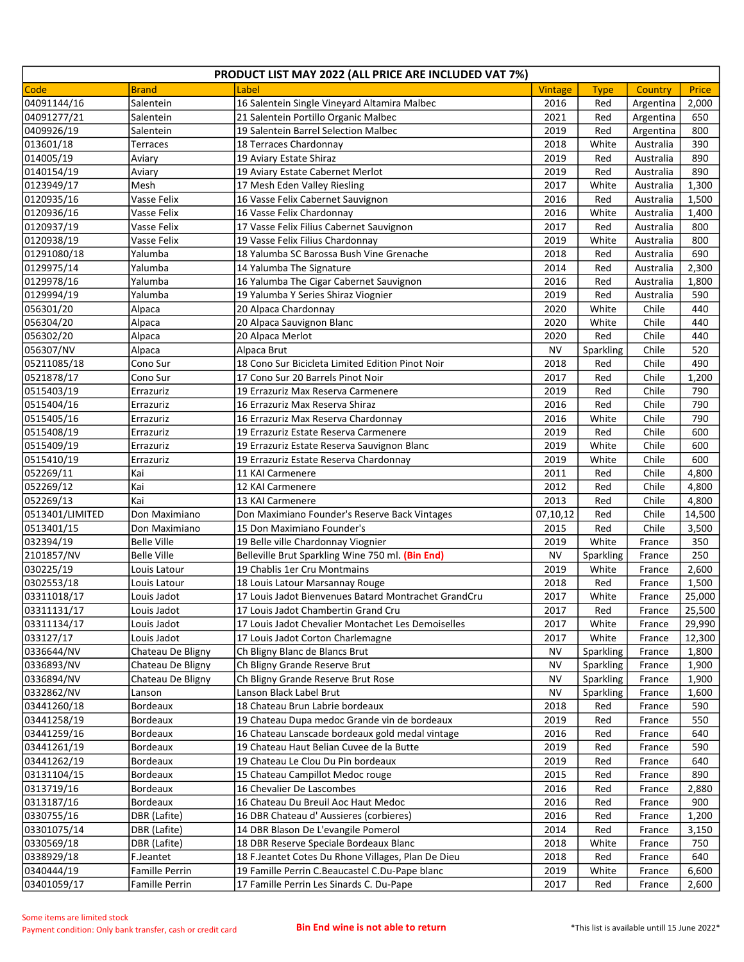| PRODUCT LIST MAY 2022 (ALL PRICE ARE INCLUDED VAT 7%) |                    |                                                                                 |              |             |                |        |  |  |  |  |
|-------------------------------------------------------|--------------------|---------------------------------------------------------------------------------|--------------|-------------|----------------|--------|--|--|--|--|
| <b>Code</b>                                           | <b>Brand</b>       | Label                                                                           | Vintage      | <b>Type</b> | Country        | Price  |  |  |  |  |
| 04091144/16                                           | Salentein          | 16 Salentein Single Vineyard Altamira Malbec                                    | 2016         | Red         | Argentina      | 2,000  |  |  |  |  |
| 04091277/21                                           | Salentein          | 21 Salentein Portillo Organic Malbec                                            | 2021         | Red         | Argentina      | 650    |  |  |  |  |
| 0409926/19                                            | Salentein          | 19 Salentein Barrel Selection Malbec                                            | 2019         | Red         | Argentina      | 800    |  |  |  |  |
| 013601/18                                             | Terraces           | 18 Terraces Chardonnay                                                          | 2018         | White       | Australia      | 390    |  |  |  |  |
| 014005/19                                             | Aviary             | 19 Aviary Estate Shiraz                                                         | 2019         | Red         | Australia      | 890    |  |  |  |  |
| 0140154/19                                            | Aviary             | 19 Aviary Estate Cabernet Merlot                                                | 2019         | Red         | Australia      | 890    |  |  |  |  |
| 0123949/17                                            | Mesh               | 17 Mesh Eden Valley Riesling                                                    | 2017         | White       | Australia      | 1,300  |  |  |  |  |
| 0120935/16                                            | Vasse Felix        | 16 Vasse Felix Cabernet Sauvignon                                               | 2016         | Red         | Australia      | 1,500  |  |  |  |  |
| 0120936/16                                            | Vasse Felix        | 16 Vasse Felix Chardonnay                                                       | 2016         | White       | Australia      | 1,400  |  |  |  |  |
| 0120937/19                                            | Vasse Felix        | 17 Vasse Felix Filius Cabernet Sauvignon                                        | 2017         | Red         | Australia      | 800    |  |  |  |  |
| 0120938/19                                            | Vasse Felix        | 19 Vasse Felix Filius Chardonnay                                                | 2019         | White       | Australia      | 800    |  |  |  |  |
| 01291080/18                                           | Yalumba            | 18 Yalumba SC Barossa Bush Vine Grenache                                        | 2018         | Red         | Australia      | 690    |  |  |  |  |
| 0129975/14                                            | Yalumba            | 14 Yalumba The Signature                                                        | 2014         | Red         | Australia      | 2,300  |  |  |  |  |
| 0129978/16                                            | Yalumba            | 16 Yalumba The Cigar Cabernet Sauvignon                                         | 2016         | Red         | Australia      | 1,800  |  |  |  |  |
| 0129994/19                                            | Yalumba            | 19 Yalumba Y Series Shiraz Viognier                                             | 2019         | Red         | Australia      | 590    |  |  |  |  |
| 056301/20                                             | Alpaca             | 20 Alpaca Chardonnay                                                            | 2020         | White       | Chile          | 440    |  |  |  |  |
| 056304/20                                             | Alpaca             | 20 Alpaca Sauvignon Blanc                                                       | 2020         | White       | Chile          | 440    |  |  |  |  |
| 056302/20                                             | Alpaca             | 20 Alpaca Merlot                                                                | 2020         | Red         | Chile          | 440    |  |  |  |  |
| 056307/NV                                             | Alpaca             | Alpaca Brut                                                                     | <b>NV</b>    | Sparkling   | Chile          | 520    |  |  |  |  |
| 05211085/18                                           | Cono Sur           | 18 Cono Sur Bicicleta Limited Edition Pinot Noir                                | 2018         | Red         | Chile          | 490    |  |  |  |  |
| 0521878/17                                            | Cono Sur           | 17 Cono Sur 20 Barrels Pinot Noir                                               | 2017         | Red         | Chile          | 1,200  |  |  |  |  |
| 0515403/19                                            | Errazuriz          | 19 Errazuriz Max Reserva Carmenere                                              | 2019         | Red         | Chile          | 790    |  |  |  |  |
| 0515404/16                                            | Errazuriz          | 16 Errazuriz Max Reserva Shiraz                                                 | 2016         | Red         | Chile          | 790    |  |  |  |  |
| 0515405/16                                            |                    | 16 Errazuriz Max Reserva Chardonnay                                             | 2016         | White       | Chile          | 790    |  |  |  |  |
|                                                       | Errazuriz          |                                                                                 |              |             |                |        |  |  |  |  |
| 0515408/19                                            | Errazuriz          | 19 Errazuriz Estate Reserva Carmenere                                           | 2019         | Red         | Chile          | 600    |  |  |  |  |
| 0515409/19                                            | Errazuriz          | 19 Errazuriz Estate Reserva Sauvignon Blanc                                     | 2019         | White       | Chile          | 600    |  |  |  |  |
| 0515410/19                                            | Errazuriz<br>Kai   | 19 Errazuriz Estate Reserva Chardonnay                                          | 2019<br>2011 | White       | Chile<br>Chile | 600    |  |  |  |  |
| 052269/11                                             | Kai                | 11 KAI Carmenere                                                                | 2012         | Red         | Chile          | 4,800  |  |  |  |  |
| 052269/12                                             |                    | 12 KAI Carmenere                                                                |              | Red         |                | 4,800  |  |  |  |  |
| 052269/13<br>0513401/LIMITED                          | Kai                | 13 KAI Carmenere                                                                | 2013         | Red         | Chile          | 4,800  |  |  |  |  |
|                                                       | Don Maximiano      | Don Maximiano Founder's Reserve Back Vintages                                   | 07,10,12     | Red         | Chile          | 14,500 |  |  |  |  |
| 0513401/15                                            | Don Maximiano      | 15 Don Maximiano Founder's                                                      | 2015         | Red         | Chile          | 3,500  |  |  |  |  |
| 032394/19                                             | <b>Belle Ville</b> | 19 Belle ville Chardonnay Viognier                                              | 2019         | White       | France         | 350    |  |  |  |  |
| 2101857/NV                                            | <b>Belle Ville</b> | Belleville Brut Sparkling Wine 750 ml. (Bin End)                                | NV           | Sparkling   | France         | 250    |  |  |  |  |
| 030225/19                                             | Louis Latour       | 19 Chablis 1er Cru Montmains                                                    | 2019         | White       | France         | 2,600  |  |  |  |  |
| 0302553/18                                            | Louis Latour       | 18 Louis Latour Marsannay Rouge                                                 | 2018         | Red         | France         | 1,500  |  |  |  |  |
| 03311018/17                                           | Louis Jadot        | 17 Louis Jadot Bienvenues Batard Montrachet GrandCru                            | 2017         | White       | France         | 25,000 |  |  |  |  |
| 03311131/17                                           | Louis Jadot        | 17 Louis Jadot Chambertin Grand Cru                                             | 2017         | Red         | France         | 25,500 |  |  |  |  |
| 03311134/17                                           | Louis Jadot        | 17 Louis Jadot Chevalier Montachet Les Demoiselles                              | 2017         | White       | France         | 29,990 |  |  |  |  |
| 033127/17                                             | Louis Jadot        | 17 Louis Jadot Corton Charlemagne                                               | 2017         | White       | France         | 12,300 |  |  |  |  |
| 0336644/NV                                            | Chateau De Bligny  | Ch Bligny Blanc de Blancs Brut                                                  | NV           | Sparkling   | France         | 1,800  |  |  |  |  |
| 0336893/NV                                            | Chateau De Bligny  | Ch Bligny Grande Reserve Brut                                                   | NV           | Sparkling   | France         | 1,900  |  |  |  |  |
| 0336894/NV                                            | Chateau De Bligny  | Ch Bligny Grande Reserve Brut Rose                                              | NV           | Sparkling   | France         | 1,900  |  |  |  |  |
| 0332862/NV                                            | Lanson             | Lanson Black Label Brut                                                         | NV           | Sparkling   | France         | 1,600  |  |  |  |  |
| 03441260/18                                           | Bordeaux           | 18 Chateau Brun Labrie bordeaux<br>19 Chateau Dupa medoc Grande vin de bordeaux | 2018         | Red         | France         | 590    |  |  |  |  |
| 03441258/19                                           | Bordeaux           |                                                                                 | 2019         | Red         | France         | 550    |  |  |  |  |
| 03441259/16                                           | Bordeaux           | 16 Chateau Lanscade bordeaux gold medal vintage                                 | 2016         | Red         | France         | 640    |  |  |  |  |
| 03441261/19                                           | Bordeaux           | 19 Chateau Haut Belian Cuvee de la Butte                                        | 2019         | Red         | France         | 590    |  |  |  |  |
| 03441262/19                                           | Bordeaux           | 19 Chateau Le Clou Du Pin bordeaux                                              | 2019         | Red         | France         | 640    |  |  |  |  |
| 03131104/15                                           | Bordeaux           | 15 Chateau Campillot Medoc rouge                                                | 2015         | Red         | France         | 890    |  |  |  |  |
| 0313719/16                                            | Bordeaux           | 16 Chevalier De Lascombes                                                       | 2016         | Red         | France         | 2,880  |  |  |  |  |
| 0313187/16                                            | Bordeaux           | 16 Chateau Du Breuil Aoc Haut Medoc                                             | 2016         | Red         | France         | 900    |  |  |  |  |
| 0330755/16                                            | DBR (Lafite)       | 16 DBR Chateau d' Aussieres (corbieres)                                         | 2016         | Red         | France         | 1,200  |  |  |  |  |
| 03301075/14                                           | DBR (Lafite)       | 14 DBR Blason De L'evangile Pomerol                                             | 2014         | Red         | France         | 3,150  |  |  |  |  |
| 0330569/18                                            | DBR (Lafite)       | 18 DBR Reserve Speciale Bordeaux Blanc                                          | 2018         | White       | France         | 750    |  |  |  |  |
| 0338929/18                                            | F.Jeantet          | 18 F.Jeantet Cotes Du Rhone Villages, Plan De Dieu                              | 2018         | Red         | France         | 640    |  |  |  |  |
| 0340444/19                                            | Famille Perrin     | 19 Famille Perrin C.Beaucastel C.Du-Pape blanc                                  | 2019         | White       | France         | 6,600  |  |  |  |  |
| 03401059/17                                           | Famille Perrin     | 17 Famille Perrin Les Sinards C. Du-Pape                                        | 2017         | Red         | France         | 2,600  |  |  |  |  |